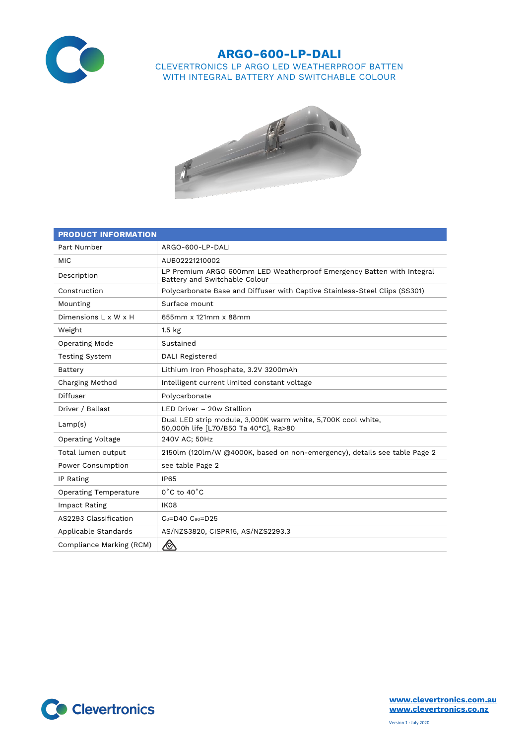

## **ARGO-600-LP-DALI** CLEVERTRONICS LP ARGO LED WEATHERPROOF BATTEN WITH INTEGRAL BATTERY AND SWITCHABLE COLOUR



| <b>PRODUCT INFORMATION</b>   |                                                                                                        |  |  |  |
|------------------------------|--------------------------------------------------------------------------------------------------------|--|--|--|
| Part Number                  | ARGO-600-LP-DALI                                                                                       |  |  |  |
| <b>MIC</b>                   | AUB02221210002                                                                                         |  |  |  |
| Description                  | LP Premium ARGO 600mm LED Weatherproof Emergency Batten with Integral<br>Battery and Switchable Colour |  |  |  |
| Construction                 | Polycarbonate Base and Diffuser with Captive Stainless-Steel Clips (SS301)                             |  |  |  |
| Mounting                     | Surface mount                                                                                          |  |  |  |
| Dimensions L x W x H         | 655mm x 121mm x 88mm                                                                                   |  |  |  |
| Weight                       | $1.5$ kg                                                                                               |  |  |  |
| Operating Mode               | Sustained                                                                                              |  |  |  |
| <b>Testing System</b>        | DALI Registered                                                                                        |  |  |  |
| Battery                      | Lithium Iron Phosphate, 3.2V 3200mAh                                                                   |  |  |  |
| Charging Method              | Intelligent current limited constant voltage                                                           |  |  |  |
| Diffuser                     | Polycarbonate                                                                                          |  |  |  |
| Driver / Ballast             | LED Driver - 20w Stallion                                                                              |  |  |  |
| Lamp(s)                      | Dual LED strip module, 3,000K warm white, 5,700K cool white,<br>50,000h life [L70/B50 Ta 40°C], Ra>80  |  |  |  |
| Operating Voltage            | 240V AC; 50Hz                                                                                          |  |  |  |
| Total lumen output           | 2150lm (120lm/W @4000K, based on non-emergency), details see table Page 2                              |  |  |  |
| Power Consumption            | see table Page 2                                                                                       |  |  |  |
| IP Rating                    | <b>IP65</b>                                                                                            |  |  |  |
| <b>Operating Temperature</b> | $0^{\circ}$ C to 40 $^{\circ}$ C                                                                       |  |  |  |
| Impact Rating                | IK08                                                                                                   |  |  |  |
| AS2293 Classification        | $C_0 = D40 C_{90} = D25$                                                                               |  |  |  |
| Applicable Standards         | AS/NZS3820, CISPR15, AS/NZS2293.3                                                                      |  |  |  |
| Compliance Marking (RCM)     |                                                                                                        |  |  |  |